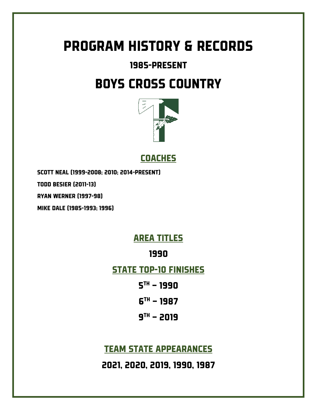# PROGRAM HISTORY & RECORDS

# 1985-present

# BOYS CROSS COUNTRY



**COACHES** 

Scott neal (1999-2008; 2010; 2014-present)

Todd besier (2011-13)

Ryan werner (1997-98)

Mike dale (1985-1993; 1996)

# Area titles

## 1990

## STATE TOP-10 FINISHES

- $5^{th} 1990$
- $6^{TH}$  1987
- $9<sup>TH</sup> 2019$

# **TEAM STATE APPEARANCES**

2021, 2020, 2019, 1990, 1987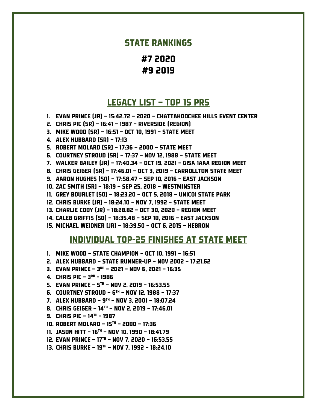### STATE RANKINGS

#7 2020 #9 2019

### legacy list – top 15 PRs

- 1. EVAN PRINCE (JR) 15:42.72 2020 Chattahoochee hills event center
- 2. CHRIS PIC (SR) 16:41 1987 RIVERSIDE (REGION)
- 3. MIKE WOOD (SR) 16:51 OCT 10, 1991 STATE MEET
- 4. ALEX HUBBARD (SR) 17:13
- 5. ROBERT MOLARD (SR) 17:36 2000 STATE MEET
- 6. COURTNEY STROUD (SR) 17:37 NOV 12, 1988 STATE MEET
- 7. Walker Bailey (JR) 17:40.34 Oct 19, 2021 GISA 1AAA Region Meet
- 8. CHRIS GEIGER (SR) 17:46.01 OCT 3, 2019 CARROLLTON STATE MEET
- 9. AARON HUGHES (SO) 17:58.47 SEP 10, 2016 EAST JACKSON
- 10. ZAC SMITH (SR) 18:19 SEP 25, 2018 WESTMINSTER
- 11. GREY BOURLET (SO) 18:23.20 OCT 5, 2018 UNICOI STATE PARK
- 12. CHRIS BURKE (JR) 18:24.10 NOV 7, 1992 STATE MEET
- 13. Charlie Cody (JR) 18:28.82 oct 30, 2020 region meet
- 14. CALEB GRIFFIS (SO) 18:35.48 SEP 10, 2016 EAST JACKSON
- 15. MICHAEL WEIDNER (JR) 18:39.50 OCT 6, 2015 HEBRON

#### Individual top-25 finishes at state meet

- 1. Mike wood state champion oct 10, 1991 16:51
- 2. ALEX HUBBARD STATE RUNNER-UP nov 2002 17:21.62
- 3. EVAN PRINCE  $3^{RD}$  2021 NOV 6, 2021 16:35
- 4. CHRIS PIC 3RD 1986
- 5. EVAN PRINCE  $5^{th}$  NOV 2, 2019 16:53.55
- 6. COURTNEY STROUD  $6^{th}$  NOV 12, 1988 17:37
- 7. ALEX HUBBARD 9TH nov 3, 2001 18:07.24
- 8. CHRIS GEIGER 14<sup>th</sup> NOV 2, 2019 17:46.01
- 9. CHRIS PIC  $14^{th}$  1987
- 10. Robert molard 15th 2000 17:36
- 11. Jason hitt 16th nov 10, 1990 18:41.79
- 12. Evan Prince 17th Nov 7, 2020 16:53.55
- 13. Chris burke 19th nov 7, 1992 18:24.10